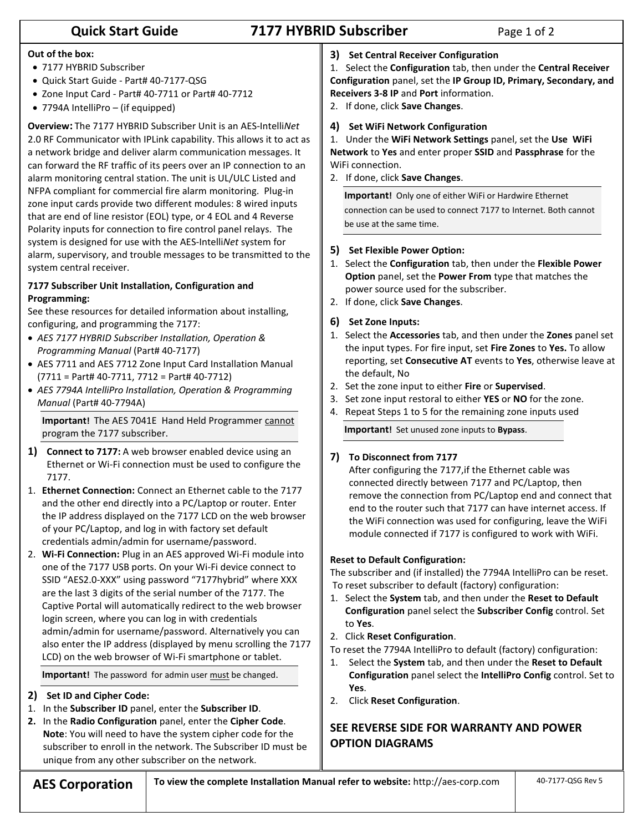# **Quick Start Guide 7177 HYBRID Subscriber** Page 1 of 2

#### **Out of the box:**

- 7177 HYBRID Subscriber
- Quick Start Guide Part# 40-7177-QSG
- Zone Input Card Part# 40-7711 or Part# 40-7712
- 7794A IntelliPro (if equipped)

**Overview:** The 7177 HYBRID Subscriber Unit is an AES-Intelli*Net* 2.0 RF Communicator with IPLink capability. This allows it to act as a network bridge and deliver alarm communication messages. It can forward the RF traffic of its peers over an IP connection to an alarm monitoring central station. The unit is UL/ULC Listed and NFPA compliant for commercial fire alarm monitoring. Plug-in zone input cards provide two different modules: 8 wired inputs that are end of line resistor (EOL) type, or 4 EOL and 4 Reverse Polarity inputs for connection to fire control panel relays. The system is designed for use with the AES-Intelli*Net* system for alarm, supervisory, and trouble messages to be transmitted to the system central receiver.

#### **7177 Subscriber Unit Installation, Configuration and Programming:**

See these resources for detailed information about installing, configuring, and programming the 7177:

- *AES 7177 HYBRID Subscriber Installation, Operation & Programming Manual* (Part# 40-7177)
- AES 7711 and AES 7712 Zone Input Card Installation Manual (7711 = Part# 40-7711, 7712 = Part# 40-7712)
- *AES 7794A IntelliPro Installation, Operation & Programming Manual* (Part# 40-7794A)

**Important!** The AES 7041E Hand Held Programmer cannot program the 7177 subscriber.

- **1) Connect to 7177:** A web browser enabled device using an Ethernet or Wi-Fi connection must be used to configure the 7177.
- 1. **Ethernet Connection:** Connect an Ethernet cable to the 7177 and the other end directly into a PC/Laptop or router. Enter the IP address displayed on the 7177 LCD on the web browser of your PC/Laptop, and log in with factory set default credentials admin/admin for username/password.
- 2. **Wi-Fi Connection:** Plug in an AES approved Wi-Fi module into one of the 7177 USB ports. On your Wi-Fi device connect to SSID "AES2.0-XXX" using password "7177hybrid" where XXX are the last 3 digits of the serial number of the 7177. The Captive Portal will automatically redirect to the web browser login screen, where you can log in with credentials admin/admin for username/password. Alternatively you can also enter the IP address (displayed by menu scrolling the 7177 LCD) on the web browser of Wi-Fi smartphone or tablet.

**Important!** The password for admin user must be changed.

- **2) Set ID and Cipher Code:**
- 1. In the **Subscriber ID** panel, enter the **Subscriber ID**.
- **2.** In the **Radio Configuration** panel, enter the **Cipher Code**. **Note**: You will need to have the system cipher code for the subscriber to enroll in the network. The Subscriber ID must be unique from any other subscriber on the network.

**3) Set Central Receiver Configuration**

1. Select the **Configuration** tab, then under the **Central Receiver Configuration** panel, set the **IP Group ID, Primary, Secondary, and Receivers 3-8 IP** and **Port** information.

2. If done, click **Save Changes**.

#### **4) Set WiFi Network Configuration**

1. Under the **WiFi Network Settings** panel, set the **Use WiFi Network** to **Yes** and enter proper **SSID** and **Passphrase** for the WiFi connection.

2. If done, click **Save Changes**.

**Important!** Only one of either WiFi or Hardwire Ethernet connection can be used to connect 7177 to Internet. Both cannot be use at the same time.

#### **5) Set Flexible Power Option:**

- 1. Select the **Configuration** tab, then under the **Flexible Power Option** panel, set the **Power From** type that matches the power source used for the subscriber.
- 2. If done, click **Save Changes**.
- **6) Set Zone Inputs:**
- 1. Select the **Accessories** tab, and then under the **Zones** panel set the input types. For fire input, set **Fire Zones** to **Yes.** To allow reporting, set **Consecutive AT** events to **Yes**, otherwise leave at the default, No
- 2. Set the zone input to either **Fire** or **Supervised**.
- 3. Set zone input restoral to either **YES** or **NO** for the zone.
- 4. Repeat Steps 1 to 5 for the remaining zone inputs used

**Important!** Set unused zone inputs to **Bypass**.

### **7) To Disconnect from 7177**

After configuring the 7177,if the Ethernet cable was connected directly between 7177 and PC/Laptop, then remove the connection from PC/Laptop end and connect that end to the router such that 7177 can have internet access. If the WiFi connection was used for configuring, leave the WiFi module connected if 7177 is configured to work with WiFi.

#### **Reset to Default Configuration:**

The subscriber and (if installed) the 7794A IntelliPro can be reset. To reset subscriber to default (factory) configuration:

- 1. Select the **System** tab, and then under the **Reset to Default Configuration** panel select the **Subscriber Config** control. Set to **Yes**.
- 2. Click **Reset Configuration**.

To reset the 7794A IntelliPro to default (factory) configuration:

- 1. Select the **System** tab, and then under the **Reset to Default Configuration** panel select the **IntelliPro Config** control. Set to **Yes**.
- 2. Click **Reset Configuration**.

## **SEE REVERSE SIDE FOR WARRANTY AND POWER OPTION DIAGRAMS**

**AES Corporation** To view the complete Installation Manual refer to website: http://aes-corp.com 100-7177-QSG Rev 5